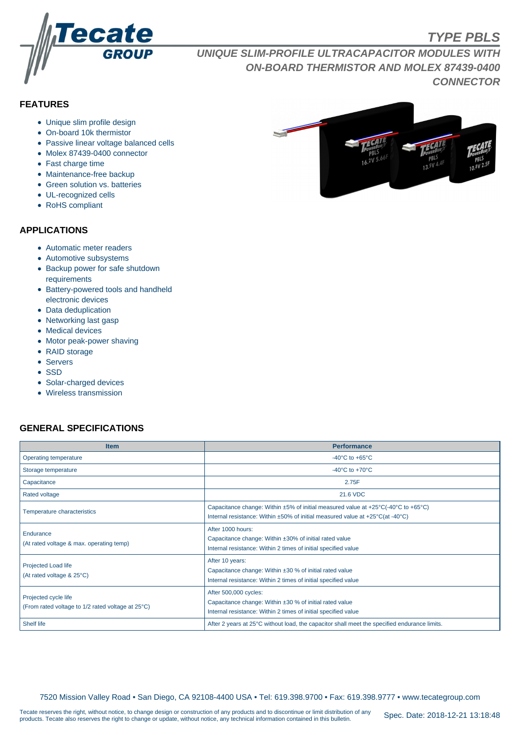

# **TYPE PBLS**

**UNIQUE SLIM-PROFILE ULTRACAPACITOR MODULES WITH ON-BOARD THERMISTOR AND MOLEX 87439-0400 CONNECTOR**

## **FEATURES**

- Unique slim profile design
- On-board 10k thermistor
- Passive linear voltage balanced cells
- Molex 87439-0400 connector
- Fast charge time
- Maintenance-free backup
- Green solution vs. batteries
- UL-recognized cells
- RoHS compliant

#### **APPLICATIONS**

- Automatic meter readers
- Automotive subsystems
- Backup power for safe shutdown requirements
- Battery-powered tools and handheld electronic devices
- Data deduplication
- Networking last gasp
- Medical devices
- Motor peak-power shaving
- RAID storage
- Servers
- SSD
- Solar-charged devices
- Wireless transmission

### **GENERAL SPECIFICATIONS**

| <b>Item</b>                                                               | <b>Performance</b>                                                                                                                                                                                                         |  |  |  |  |  |
|---------------------------------------------------------------------------|----------------------------------------------------------------------------------------------------------------------------------------------------------------------------------------------------------------------------|--|--|--|--|--|
| Operating temperature                                                     | -40 $^{\circ}$ C to +65 $^{\circ}$ C                                                                                                                                                                                       |  |  |  |  |  |
| Storage temperature                                                       | -40 $^{\circ}$ C to +70 $^{\circ}$ C                                                                                                                                                                                       |  |  |  |  |  |
| Capacitance                                                               | 2.75F                                                                                                                                                                                                                      |  |  |  |  |  |
| <b>Rated voltage</b>                                                      | 21.6 VDC                                                                                                                                                                                                                   |  |  |  |  |  |
| Temperature characteristics                                               | Capacitance change: Within $\pm 5\%$ of initial measured value at $\pm 25^{\circ}$ C(-40°C to $+65^{\circ}$ C)<br>Internal resistance: Within $\pm 50\%$ of initial measured value at $+25\degree C$ (at -40 $\degree C$ ) |  |  |  |  |  |
| Endurance<br>(At rated voltage & max. operating temp)                     | After 1000 hours:<br>Capacitance change: Within ±30% of initial rated value<br>Internal resistance: Within 2 times of initial specified value                                                                              |  |  |  |  |  |
| Projected Load life<br>(At rated voltage & 25°C)                          | After 10 years:<br>Capacitance change: Within $\pm 30$ % of initial rated value<br>Internal resistance: Within 2 times of initial specified value                                                                          |  |  |  |  |  |
| Projected cycle life<br>(From rated voltage to 1/2 rated voltage at 25°C) | After 500,000 cycles:<br>Capacitance change: Within ±30 % of initial rated value<br>Internal resistance: Within 2 times of initial specified value                                                                         |  |  |  |  |  |
| <b>Shelf life</b>                                                         | After 2 years at 25°C without load, the capacitor shall meet the specified endurance limits.                                                                                                                               |  |  |  |  |  |

7520 Mission Valley Road • San Diego, CA 92108-4400 USA • Tel: 619.398.9700 • Fax: 619.398.9777 • www.tecategroup.com